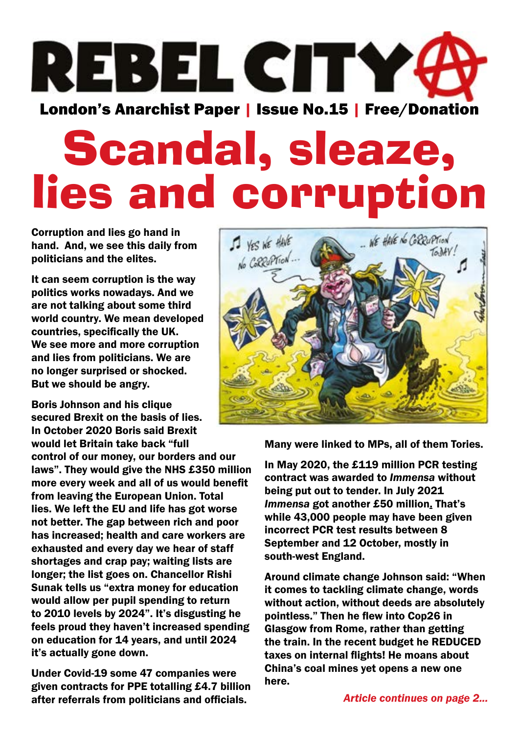

# Scandal, sleaze, lies and corruption

Corruption and lies go hand in hand. And, we see this daily from politicians and the elites.

It can seem corruption is the way politics works nowadays. And we are not talking about some third world country. We mean developed countries, specifically the UK. We see more and more corruption and lies from politicians. We are no longer surprised or shocked. But we should be angry.

Boris Johnson and his clique secured Brexit on the basis of lies. In October 2020 [Boris said](https://www.reuters.com/article/us-britain-eu-johnson-idUSKBN26S1QO) Brexit would let Britain take back "full control of our money, our borders and our laws". They would give the NHS £350 million more every week and all of us would benefit from leaving the European Union. Total lies. We left the EU and life has got worse not better. The gap between rich and poor has increased; health and care workers are exhausted and every day we hear of staff shortages and crap pay; waiting lists are longer; the list goes on. Chancellor Rishi Sunak tells us "extra money for education would allow per pupil spending to return to 2010 levels by 2024". It's disgusting he feels proud they haven't increased spending on education for 14 years, and until 2024 it's actually gone down.

Under Covid-19 some 47 companies were given contracts for PPE totalling £4.7 billion after referrals from politicians and officials.



Many were linked to MPs, all of them Tories.

In May 2020, the £119 million PCR testing contract was awarded to *Immensa* without being put out to tender. In July 2021 *Immensa* got another £50 million. That's while 43,000 people may have been given incorrect PCR test results between 8 September and 12 October, mostly in south-west [England](https://www.theguardian.com/uk-news/england).

Around climate change Johnson said: "When it comes to tackling climate change, words without action, without deeds are absolutely pointless." Then he flew into [Cop26](https://www.theguardian.com/environment/cop26-glasgow-climate-change-conference-2021) in Glasgow from Rome, rather than getting the train. In the recent budget he REDUCED taxes on internal flights! He moans about China's coal mines yet opens a new one here.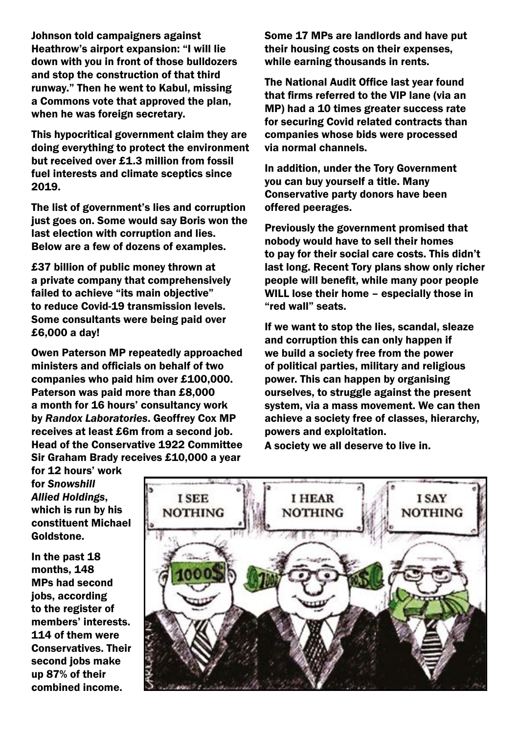Johnson told campaigners against Heathrow's airport expansion: "I will lie down with you in front of those bulldozers and stop the construction of that third runway." Then he went to Kabul, [missing](https://www.theguardian.com/environment/2018/jun/25/boris-johnson-criticised-over-decision-to-miss-crunch-heathrow-expansion-vote) [a Commons vote](https://www.theguardian.com/environment/2018/jun/25/boris-johnson-criticised-over-decision-to-miss-crunch-heathrow-expansion-vote) that approved the plan, when he was foreign secretary.

This hypocritical government claim they are doing everything to protect the environment but [receive](https://www.theguardian.com/politics/2021/oct/25/tories-received-13m-from-fossil-fuel-interests-and-climate-sceptics-since-2019)d over £1.3 million from fossil fuel interests and climate sceptics since 2019.

The list of government's lies and corruption just goes on. Some would say Boris won the last election with corruption and lies. Below are a few of dozens of examples.

£37 billion of public money thrown at a private company that comprehensively failed to achieve "its main objective" to reduce Covid-19 transmission levels. Some consultants were being [paid over](https://www.theguardian.com/world/2020/oct/14/consultants-fees-up-to-6250-a-day-for-work-on-covid-test-system)  £6,000 a day!

Owen Paterson MP repeatedly approached ministers and officials on behalf of two companies who paid him over £100,000. Paterson was paid more than £8,000 a month for 16 hours' consultancy work by *[Randox Laboratories](https://www.theguardian.com/sport/2021/nov/05/is-randox-a-suitable-sponsor-for-grand-national-after-owen-paterson-sleaze-row-horse-racing)*. Geoffrey Cox MP receives at least £6m from a second job. Head of the Conservative 1922 Committee Sir Graham Brady receives £10,000 a year

Some 17 MPs are landlords and have put their housing costs on their expenses, while earning thousands in rents.

The National Audit Office last year found that firms referred to the VIP lane (via an MP) had a [10 times greater success rate](https://www.theguardian.com/politics/2020/nov/18/ppe-suppliers-with-political-ties-given-high-priority-status-report-reveals)  for securing Covid related contracts than companies whose bids were processed via normal channels.

In addition, under the Tory Government you can buy yourself a title. Many Conservative party donors have been offered peerages.

Previously the government promised that nobody would have to sell their homes to pay for their social care costs. This didn't last long. Recent Tory plans show only richer people will benefit, while many poor people WILL lose their home – especially those in "red wall" seats.

If we want to stop the lies, scandal, sleaze and corruption this can only happen if we build a society free from the power of political parties, military and religious power. This can happen by organising ourselves, to struggle against the present system, via a mass movement. We can then achieve a society free of classes, hierarchy, powers and exploitation.

A society we all deserve to live in.

for 12 hours' work for *Snowshill Allied Holdings*, which is run by his constituent Michael Goldstone.

In the past 18 months, 148 MPs had second jobs, according to the register of members' interests. 114 of them were [Conservatives.](https://www.theguardian.com/politics/conservatives) Their second jobs make up 87% of their combined income.

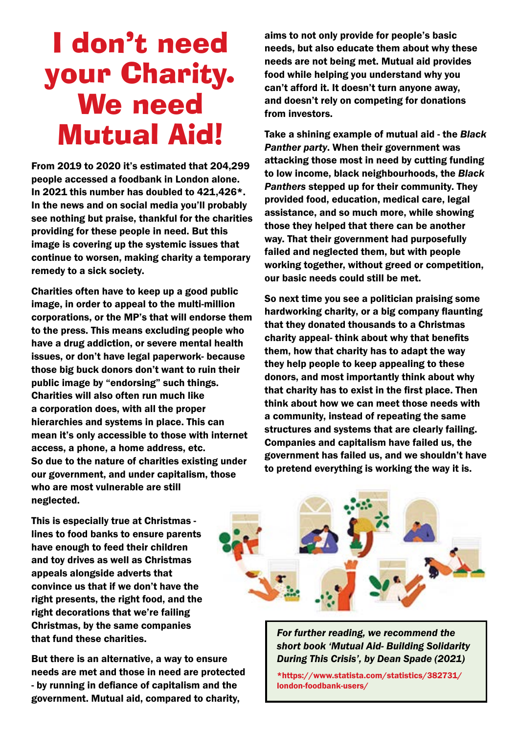## I don't need your Charity. We need Mutual Aid!

From 2019 to 2020 it's estimated that 204,299 people accessed a foodbank in London alone. In 2021 this number has doubled to 421,426\*. In the news and on social media you'll probably see nothing but praise, thankful for the charities providing for these people in need. But this image is covering up the systemic issues that continue to worsen, making charity a temporary remedy to a sick society.

Charities often have to keep up a good public image, in order to appeal to the multi-million corporations, or the MP's that will endorse them to the press. This means excluding people who have a drug addiction, or severe mental health issues, or don't have legal paperwork- because those big buck donors don't want to ruin their public image by "endorsing" such things. Charities will also often run much like a corporation does, with all the proper hierarchies and systems in place. This can mean it's only accessible to those with internet access, a phone, a home address, etc. So due to the nature of charities existing under our government, and under capitalism, those who are most vulnerable are still neglected.

aims to not only provide for people's basic needs, but also educate them about why these needs are not being met. Mutual aid provides food while helping you understand why you can't afford it. It doesn't turn anyone away, and doesn't rely on competing for donations from investors.

Take a shining example of mutual aid - the *Black Panther party*. When their government was attacking those most in need by cutting funding to low income, black neighbourhoods, the *Black Panthers* stepped up for their community. They provided food, education, medical care, legal assistance, and so much more, while showing those they helped that there can be another way. That their government had purposefully failed and neglected them, but with people working together, without greed or competition, our basic needs could still be met.

So next time you see a politician praising some hardworking charity, or a big company flaunting that they donated thousands to a Christmas charity appeal- think about why that benefits them, how that charity has to adapt the way they help people to keep appealing to these donors, and most importantly think about why that charity has to exist in the first place. Then think about how we can meet those needs with a community, instead of repeating the same structures and systems that are clearly failing. Companies and capitalism have failed us, the government has failed us, and we shouldn't have to pretend everything is working the way it is.

This is especially true at Christmas lines to food banks to ensure parents have enough to feed their children and toy drives as well as Christmas appeals alongside adverts that convince us that if we don't have the right presents, the right food, and the right decorations that we're failing Christmas, by the same companies that fund these charities.

But there is an alternative, a way to ensure needs are met and those in need are protected - by running in defiance of capitalism and the government. Mutual aid, compared to charity,

*For further reading, we recommend the short book 'Mutual Aid- Building Solidarity During This Crisis', by Dean Spade (2021)*

\*https://www.statista.com/statistics/382731/ london-foodbank-users/

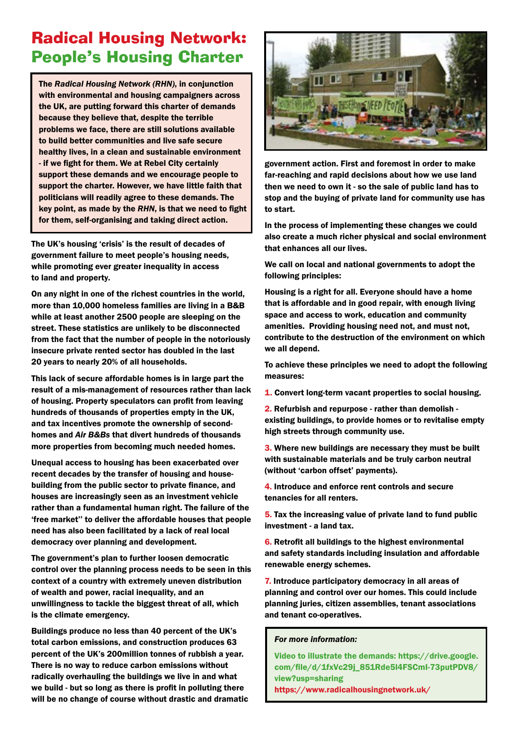### Radical Housing Network: People's Housing Charter

The *Radical Housing Network (RHN)*, in conjunction with environmental and housing campaigners across the UK, are putting forward this charter of demands because they believe that, despite the terrible problems we face, there are still solutions available to build better communities and live safe secure healthy lives, in a clean and sustainable environment - if we fight for them. We at Rebel City certainly support these demands and we encourage people to support the charter. However, we have little faith that politicians will readily agree to these demands. The key point, as made by the *RHN*, is that we need to fight for them, self-organising and taking direct action.

The UK's housing 'crisis' is the result of decades of government failure to meet people's housing needs, while promoting ever greater inequality in access to land and property.

On any night in one of the richest countries in the world, more than 10,000 homeless families are living in a B&B while at least another 2500 people are sleeping on the street. These statistics are unlikely to be disconnected from the fact that the number of people in the notoriously insecure private rented sector has doubled in the last 20 years to nearly 20% of all households.

This lack of secure affordable homes is in large part the result of a mis-management of resources rather than lack of housing. Property speculators can profit from leaving hundreds of thousands of properties empty in the UK, and tax incentives promote the ownership of secondhomes and *Air B&Bs* that divert hundreds of thousands more properties from becoming much needed homes.

Unequal access to housing has been exacerbated over recent decades by the transfer of housing and housebuilding from the public sector to private finance, and houses are increasingly seen as an investment vehicle rather than a fundamental human right. The failure of the 'free market'' to deliver the affordable houses that people need has also been facilitated by a lack of real local democracy over planning and development.

The government's plan to further loosen democratic control over the planning process needs to be seen in this context of a country with extremely uneven distribution of wealth and power, racial inequality, and an unwillingness to tackle the biggest threat of all, which is the climate emergency.

Buildings produce no less than 40 percent of the UK's total carbon emissions, and construction produces 63 percent of the UK's 200million tonnes of rubbish a year. There is no way to reduce carbon emissions without radically overhauling the buildings we live in and what we build - but so long as there is profit in polluting there will be no change of course without drastic and dramatic



government action. First and foremost in order to make far-reaching and rapid decisions about how we use land then we need to own it - so the sale of public land has to stop and the buying of private land for community use has to start.

In the process of implementing these changes we could also create a much richer physical and social environment that enhances all our lives.

We call on local and national governments to adopt the following principles:

Housing is a right for all. Everyone should have a home that is affordable and in good repair, with enough living space and access to work, education and community amenities. Providing housing need not, and must not, contribute to the destruction of the environment on which we all depend.

To achieve these principles we need to adopt the following measures:

1. Convert long-term vacant properties to social housing.

2. Refurbish and repurpose - rather than demolish existing buildings, to provide homes or to revitalise empty high streets through community use.

3. Where new buildings are necessary they must be built with sustainable materials and be truly carbon neutral (without 'carbon offset' payments).

4. Introduce and enforce rent controls and secure tenancies for all renters.

5. Tax the increasing value of private land to fund public investment - a land tax.

6. Retrofit all buildings to the highest environmental and safety standards including insulation and affordable renewable energy schemes.

7. Introduce participatory democracy in all areas of planning and control over our homes. This could include planning juries, citizen assemblies, tenant associations and tenant co-operatives.

#### *For more information:*

Video to illustrate the demands: [https://drive.google.](https://drive.google.com/file/d/1fxVc29j_851Rde5l4FSCmI-73putPDV8/view?usp=sharing) [com/file/d/1fxVc29j\\_851Rde5l4FSCmI-73putPDV8/](https://drive.google.com/file/d/1fxVc29j_851Rde5l4FSCmI-73putPDV8/view?usp=sharing) [view?usp=sharing](https://drive.google.com/file/d/1fxVc29j_851Rde5l4FSCmI-73putPDV8/view?usp=sharing) https://www.radicalhousingnetwork.uk/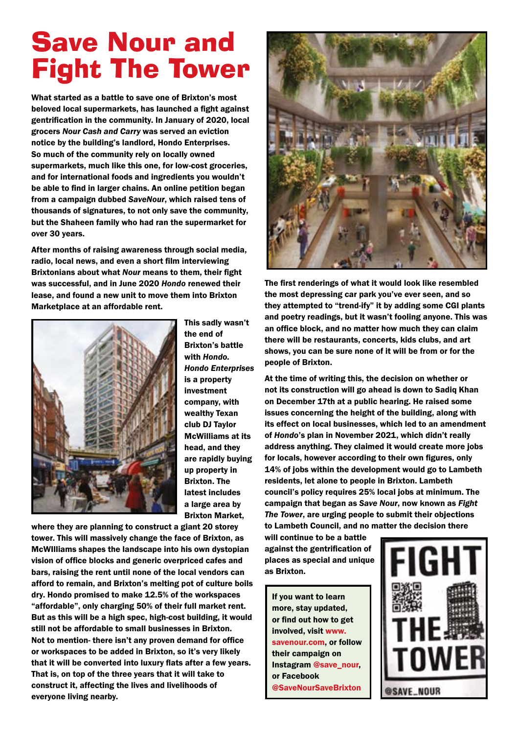### Save Nour and Fight The Tower

What started as a battle to save one of Brixton's most beloved local supermarkets, has launched a fight against gentrification in the community. In January of 2020, local grocers *Nour Cash and Carry* was served an eviction notice by the building's landlord, Hondo Enterprises. So much of the community rely on locally owned supermarkets, much like this one, for low-cost groceries, and for international foods and ingredients you wouldn't be able to find in larger chains. An online petition began from a campaign dubbed *SaveNour*, which raised tens of thousands of signatures, to not only save the community, but the Shaheen family who had ran the supermarket for over 30 years.

After months of raising awareness through social media, radio, local news, and even a short film interviewing Brixtonians about what *Nour* means to them, their fight was successful, and in June 2020 *Hondo* renewed their lease, and found a new unit to move them into Brixton Marketplace at an affordable rent.



This sadly wasn't the end of Brixton's battle with *Hondo. Hondo Enterprises*  is a property investment company, with wealthy Texan club DJ Taylor McWilliams at its head, and they are rapidly buying up property in Brixton. The latest includes a large area by Brixton Market,

where they are planning to construct a giant 20 storey tower. This will massively change the face of Brixton, as McWIlliams shapes the landscape into his own dystopian vision of office blocks and generic overpriced cafes and bars, raising the rent until none of the local vendors can afford to remain, and Brixton's melting pot of culture boils dry. Hondo promised to make 12.5% of the workspaces "affordable", only charging 50% of their full market rent. But as this will be a high spec, high-cost building, it would still not be affordable to small businesses in Brixton. Not to mention- there isn't any proven demand for office or workspaces to be added in Brixton, so it's very likely that it will be converted into luxury flats after a few years. That is, on top of the three years that it will take to construct it, affecting the lives and livelihoods of everyone living nearby.



The first renderings of what it would look like resembled the most depressing car park you've ever seen, and so they attempted to "trend-ify" it by adding some CGI plants and poetry readings, but it wasn't fooling anyone. This was an office block, and no matter how much they can claim there will be restaurants, concerts, kids clubs, and art shows, you can be sure none of it will be from or for the people of Brixton.

At the time of writing this, the decision on whether or not its construction will go ahead is down to Sadiq Khan on December 17th at a public hearing. He raised some issues concerning the height of the building, along with its effect on local businesses, which led to an amendment of *Hondo*'s plan in November 2021, which didn't really address anything. They claimed it would create more jobs for locals, however according to their own figures, only 14% of jobs within the development would go to Lambeth residents, let alone to people in Brixton. Lambeth council's policy requires 25% local jobs at minimum. The campaign that began as *Save Nour*, now known as *Fight The Tower*, are urging people to submit their objections to Lambeth Council, and no matter the decision there

will continue to be a battle against the gentrification of places as special and unique as Brixton.

If you want to learn more, stay updated, or find out how to get involved, visit [www.](http://www.savenour.com/) [savenour.com,](http://www.savenour.com/) or follow their campaign on Instagram @save\_nour, or Facebook @SaveNourSaveBrixton

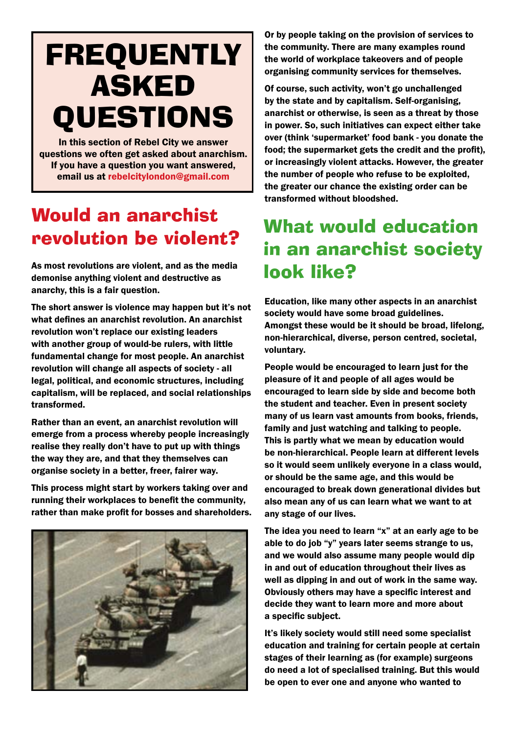# FREQUENTLY ASKED QUESTIONS

In this section of Rebel City we answer questions we often get asked about anarchism. If you have a question you want answered, email us at [rebelcitylondon@gmail.com](mailto:rebelcitylondon@gmail.com)

### Would an anarchist revolution be violent?

As most revolutions are violent, and as the media demonise anything violent and destructive as anarchy, this is a fair question.

The short answer is violence may happen but it's not what defines an anarchist revolution. An anarchist revolution won't replace our existing leaders with another group of would-be rulers, with little fundamental change for most people. An anarchist revolution will change all aspects of society - all legal, political, and economic structures, including capitalism, will be replaced, and social relationships transformed.

Rather than an event, an anarchist revolution will emerge from a process whereby people increasingly realise they really don't have to put up with things the way they are, and that they themselves can organise society in a better, freer, fairer way.

This process might start by workers taking over and running their workplaces to benefit the community, rather than make profit for bosses and shareholders.



Or by people taking on the provision of services to the community. There are many examples round the world of workplace takeovers and of people organising community services for themselves.

Of course, such activity, won't go unchallenged by the state and by capitalism. Self-organising, anarchist or otherwise, is seen as a threat by those in power. So, such initiatives can expect either take over (think 'supermarket' food bank - you donate the food; the supermarket gets the credit and the profit), or increasingly violent attacks. However, the greater the number of people who refuse to be exploited, the greater our chance the existing order can be transformed without bloodshed.

### What would education in an anarchist society look like?

Education, like many other aspects in an anarchist society would have some broad guidelines. Amongst these would be it should be broad, lifelong, non-hierarchical, diverse, person centred, societal, voluntary.

People would be encouraged to learn just for the pleasure of it and people of all ages would be encouraged to learn side by side and become both the student and teacher. Even in present society many of us learn vast amounts from books, friends, family and just watching and talking to people. This is partly what we mean by education would be non-hierarchical. People learn at different levels so it would seem unlikely everyone in a class would, or should be the same age, and this would be encouraged to break down generational divides but also mean any of us can learn what we want to at any stage of our lives.

The idea you need to learn "x" at an early age to be able to do job "y" years later seems strange to us, and we would also assume many people would dip in and out of education throughout their lives as well as dipping in and out of work in the same way. Obviously others may have a specific interest and decide they want to learn more and more about a specific subject.

It's likely society would still need some specialist education and training for certain people at certain stages of their learning as (for example) surgeons do need a lot of specialised training. But this would be open to ever one and anyone who wanted to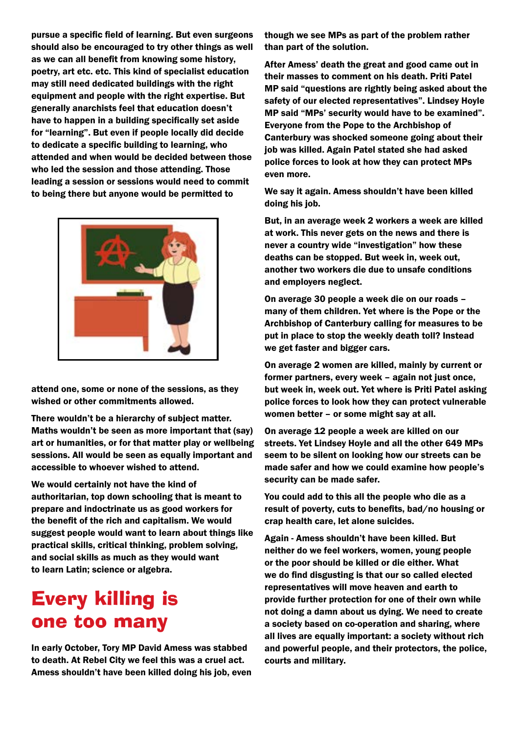pursue a specific field of learning. But even surgeons should also be encouraged to try other things as well as we can all benefit from knowing some history, poetry, art etc. etc. This kind of specialist education may still need dedicated buildings with the right equipment and people with the right expertise. But generally anarchists feel that education doesn't have to happen in a building specifically set aside for "learning". But even if people locally did decide to dedicate a specific building to learning, who attended and when would be decided between those who led the session and those attending. Those leading a session or sessions would need to commit to being there but anyone would be permitted to



attend one, some or none of the sessions, as they wished or other commitments allowed.

There wouldn't be a hierarchy of subject matter. Maths wouldn't be seen as more important that (say) art or humanities, or for that matter play or wellbeing sessions. All would be seen as equally important and accessible to whoever wished to attend.

We would certainly not have the kind of authoritarian, top down schooling that is meant to prepare and indoctrinate us as good workers for the benefit of the rich and capitalism. We would suggest people would want to learn about things like practical skills, critical thinking, problem solving, and social skills as much as they would want to learn Latin; science or algebra.

### Every killing is one too many

In early October, Tory MP David Amess was stabbed to death. At Rebel City we feel this was a cruel act. Amess shouldn't have been killed doing his job, even

though we see MPs as part of the problem rather than part of the solution.

After Amess' death the great and good came out in their masses to comment on his death. Priti Patel MP said "questions are rightly being asked about the safety of our elected representatives". Lindsey Hoyle MP said "MPs' security would have to be examined". Everyone from the Pope to the Archbishop of Canterbury was shocked someone going about their job was killed. Again Patel stated she had asked police forces to look at how they can protect MPs even more.

We say it again. Amess shouldn't have been killed doing his job.

But, in an average week 2 workers a week are killed at work. This never gets on the news and there is never a country wide "investigation" how these deaths can be stopped. But week in, week out, another two workers die due to unsafe conditions and employers neglect.

On average 30 people a week die on our roads – many of them children. Yet where is the Pope or the Archbishop of Canterbury calling for measures to be put in place to stop the weekly death toll? Instead we get faster and bigger cars.

On average 2 women are killed, mainly by current or former partners, every week – again not just once, but week in, week out. Yet where is Priti Patel asking police forces to look how they can protect vulnerable women better – or some might say at all.

On average 12 people a week are killed on our streets. Yet Lindsey Hoyle and all the other 649 MPs seem to be silent on looking how our streets can be made safer and how we could examine how people's security can be made safer.

You could add to this all the people who die as a result of poverty, cuts to benefits, bad/no housing or crap health care, let alone suicides.

Again - Amess shouldn't have been killed. But neither do we feel workers, women, young people or the poor should be killed or die either. What we do find disgusting is that our so called elected representatives will move heaven and earth to provide further protection for one of their own while not doing a damn about us dying. We need to create a society based on co-operation and sharing, where all lives are equally important: a society without rich and powerful people, and their protectors, the police, courts and military.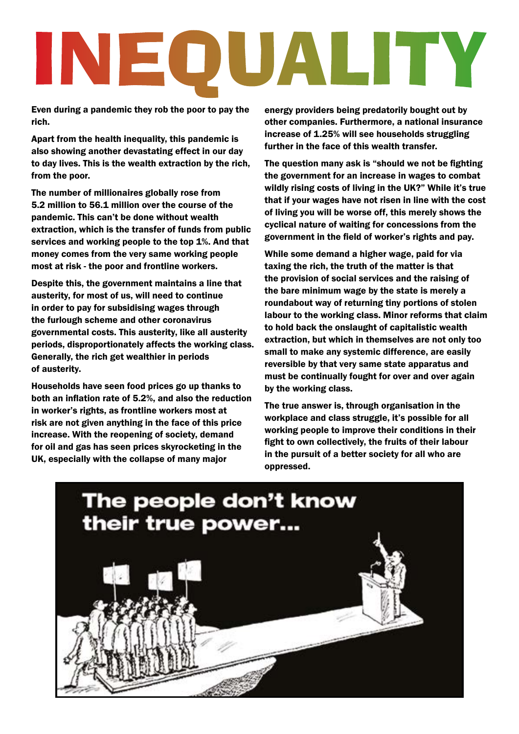# INEOUALITY

Even during a pandemic they rob the poor to pay the rich.

Apart from the health inequality, this pandemic is also showing another devastating effect in our day to day lives. This is the wealth extraction by the rich, from the poor.

The number of millionaires globally rose from 5.2 million to 56.1 million over the course of the pandemic. This can't be done without wealth extraction, which is the transfer of funds from public services and working people to the top 1%. And that money comes from the very same working people most at risk - the poor and frontline workers.

Despite this, the government maintains a line that austerity, for most of us, will need to continue in order to pay for subsidising wages through the furlough scheme and other coronavirus governmental costs. This austerity, like all austerity periods, disproportionately affects the working class. Generally, the rich get wealthier in periods of austerity.

Households have seen food prices go up thanks to both an inflation rate of 5.2%, and also the reduction in worker's rights, as frontline workers most at risk are not given anything in the face of this price increase. With the reopening of society, demand for oil and gas has seen prices skyrocketing in the UK, especially with the collapse of many major

energy providers being predatorily bought out by other companies. Furthermore, a national insurance increase of 1.25% will see households struggling further in the face of this wealth transfer.

The question many ask is "should we not be fighting the government for an increase in wages to combat wildly rising costs of living in the UK?" While it's true that if your wages have not risen in line with the cost of living you will be worse off, this merely shows the cyclical nature of waiting for concessions from the government in the field of worker's rights and pay.

While some demand a higher wage, paid for via taxing the rich, the truth of the matter is that the provision of social services and the raising of the bare minimum wage by the state is merely a roundabout way of returning tiny portions of stolen labour to the working class. Minor reforms that claim to hold back the onslaught of capitalistic wealth extraction, but which in themselves are not only too small to make any systemic difference, are easily reversible by that very same state apparatus and must be continually fought for over and over again by the working class.

The true answer is, through organisation in the workplace and class struggle, it's possible for all working people to improve their conditions in their fight to own collectively, the fruits of their labour in the pursuit of a better society for all who are oppressed.

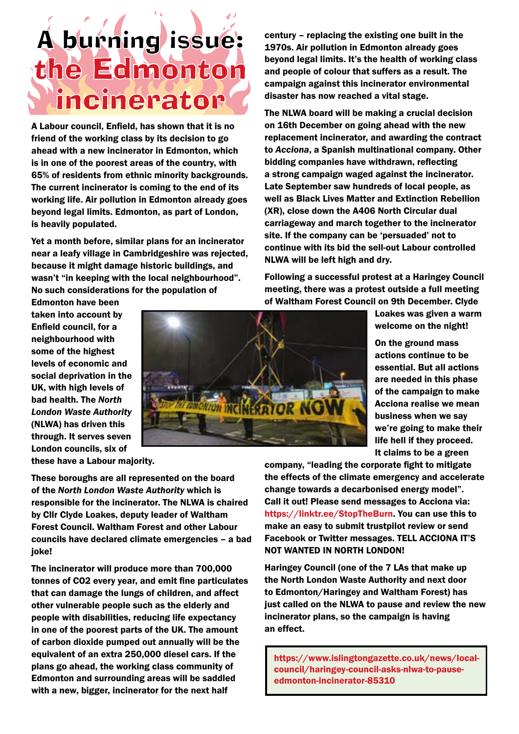### A burning issue: the Edmonton incinerator

A Labour council, Enfield, has shown that it is no friend of the working class by its decision to go ahead with a new incinerator in Edmonton, which is in one of the poorest areas of the country, with 65% of residents from ethnic minority backgrounds. The current incinerator is coming to the end of its working life. Air pollution in Edmonton already goes beyond legal limits. Edmonton, as part of London, is heavily populated.

Yet a month before, similar plans for an incinerator near a leafy village in Cambridgeshire was rejected, because it might damage historic buildings, and wasn't "in keeping with the local neighbourhood". No such considerations for the population of

Edmonton have been taken into account by Enfield council, for a neighbourhood with some of the highest levels of economic and social deprivation in the UK, with high levels of bad health. The *North London Waste Authority*  (NLWA) has driven this through. It serves seven London councils, six of

these have a Labour majority.

These boroughs are all represented on the board of the *North London Waste Authority* which is responsible for the incinerator. The NLWA is chaired by Cllr Clyde Loakes, deputy leader of Waltham Forest Council. Waltham Forest and other Labour councils have declared climate emergencies – a bad joke!

The incinerator will produce more than 700,000 tonnes of CO2 every year, and emit fine particulates that can damage the lungs of children, and affect other vulnerable people such as the elderly and people with disabilities, reducing life expectancy in one of the poorest parts of the UK. The amount of carbon dioxide pumped out annually will be the equivalent of an extra 250,000 diesel cars. If the plans go ahead, the working class community of Edmonton and surrounding areas will be saddled with a new, bigger, incinerator for the next half

century – replacing the existing one built in the 1970s. Air pollution in Edmonton already goes beyond legal limits. It's the health of working class and people of colour that suffers as a result. The campaign against this incinerator environmental disaster has now reached a vital stage.

The NLWA board will be making a crucial decision on 16th December on going ahead with the new replacement incinerator, and awarding the contract to *Acciona*, a Spanish multinational company. Other bidding companies have withdrawn, reflecting a strong campaign waged against the incinerator. Late September saw hundreds of local people, as well as Black Lives Matter and Extinction Rebellion (XR), close down the A406 North Circular dual carriageway and march together to the incinerator site. If the company can be 'persuaded' not to continue with its bid the sell-out Labour controlled NLWA will be left high and dry.

Following a successful protest at a Haringey Council meeting, there was a protest outside a full meeting of Waltham Forest Council on 9th December. Clyde

Loakes was given a warm welcome on the night!

On the ground mass actions continue to be essential. But all actions are needed in this phase of the campaign to make Acciona realise we mean business when we say we're going to make their life hell if they proceed. It claims to be a green

company, "leading the corporate fight to mitigate the effects of the climate emergency and accelerate change towards a decarbonised energy model". Call it out! Please send messages to Acciona via: https://linktr.ee/StopTheBurn. You can use this to make an easy to submit trustpilot review or send Facebook or Twitter messages. TELL ACCIONA IT'S NOT WANTED IN NORTH LONDON!

Haringey Council (one of the 7 LAs that make up the North London Waste Authority and next door to Edmonton/Haringey and Waltham Forest) has just called on the NLWA to pause and review the new incinerator plans, so the campaign is having an effect.

https://www.islingtongazette.co.uk/news/localcouncil/haringey-council-asks-nlwa-to-pauseedmonton-incinerator-85310

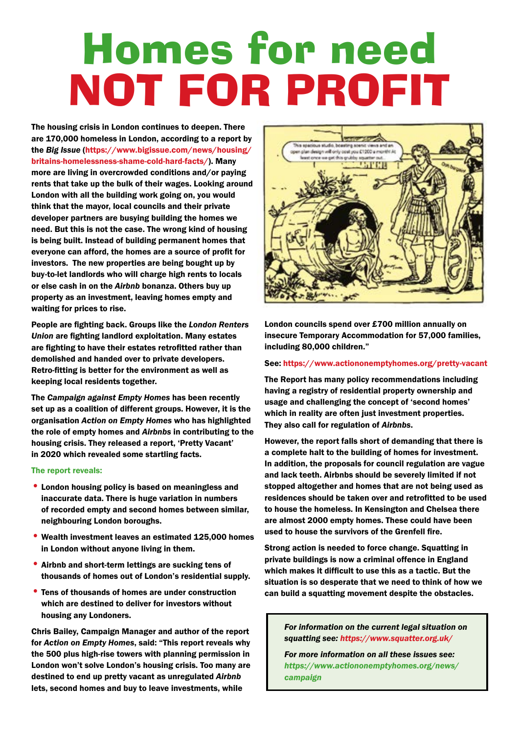# Homes for need NOT FOR PROFIT

The housing crisis in London continues to deepen. There are 170,000 homeless in London, according to a report by the *Big Issue* ([https://www.bigissue.com/news/housing/](https://www.bigissue.com/news/housing/britains-homelessness-shame-cold-hard-facts/) [britains-homelessness-shame-cold-hard-facts/](https://www.bigissue.com/news/housing/britains-homelessness-shame-cold-hard-facts/)). Many more are living in overcrowded conditions and/or paying rents that take up the bulk of their wages. Looking around London with all the building work going on, you would think that the mayor, local councils and their private developer partners are busying building the homes we need. But this is not the case. The wrong kind of housing is being built. Instead of building permanent homes that everyone can afford, the homes are a source of profit for investors. The new properties are being bought up by buy-to-let landlords who will charge high rents to locals or else cash in on the *Airbnb* bonanza. Others buy up property as an investment, leaving homes empty and waiting for prices to rise.

People are fighting back. Groups like the *London Renters Union* are fighting landlord exploitation. Many estates are fighting to have their estates retrofitted rather than demolished and handed over to private developers. Retro-fitting is better for the environment as well as keeping local residents together.

The *Campaign against Empty Homes* has been recently set up as a coalition of different groups. However, it is the organisation *Action on Empty Homes* who has highlighted the role of empty homes and *Airbnbs* in contributing to the housing crisis. They released a report, 'Pretty Vacant' in 2020 which revealed some startling facts.

#### The report reveals:

- •London housing policy is based on meaningless and inaccurate data. There is huge variation in numbers of recorded empty and second homes between similar, neighbouring London boroughs.
- Wealth investment leaves an estimated 125,000 homes in London without anyone living in them.
- •Airbnb and short-term lettings are sucking tens of thousands of homes out of London's residential supply.
- •Tens of thousands of homes are under construction which are destined to deliver for investors without housing any Londoners.

Chris Bailey, Campaign Manager and author of the report for *Action on Empty Homes*, said: "This report reveals why the 500 plus high-rise towers with planning permission in London won't solve London's housing crisis. Too many are destined to end up pretty vacant as unregulated *Airbnb* lets, second homes and buy to leave investments, while



London councils spend over £700 million annually on insecure Temporary Accommodation for 57,000 families, including 80,000 children."

#### See: <https://www.actiononemptyhomes.org/pretty-vacant>

The Report has many policy recommendations including having a registry of residential property ownership and usage and challenging the concept of 'second homes' which in reality are often just investment properties. They also call for regulation of *Airbnbs*.

However, the report falls short of demanding that there is a complete halt to the building of homes for investment. In addition, the proposals for council regulation are vague and lack teeth. Airbnbs should be severely limited if not stopped altogether and homes that are not being used as residences should be taken over and retrofitted to be used to house the homeless. In Kensington and Chelsea there are almost 2000 empty homes. These could have been used to house the survivors of the Grenfell fire.

Strong action is needed to force change. Squatting in private buildings is now a criminal offence in England which makes it difficult to use this as a tactic. But the situation is so desperate that we need to think of how we can build a squatting movement despite the obstacles.

*For information on the current legal situation on squatting see: https://www.squatter.org.uk/*

*For more information on all these issues see: https://www.actiononemptyhomes.org/news/ campaign*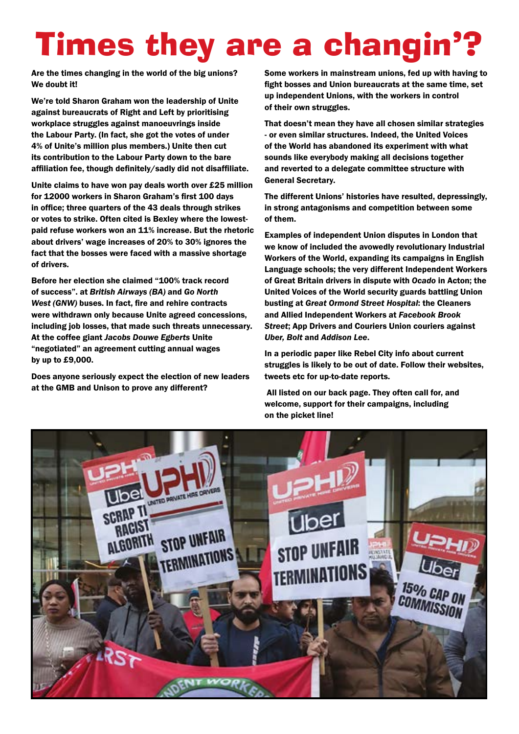# Times they are a changin'?

Are the times changing in the world of the big unions? We doubt it!

We're told Sharon Graham won the leadership of Unite against bureaucrats of Right and Left by prioritising workplace struggles against manoeuvrings inside the Labour Party. (In fact, she got the votes of under 4% of Unite's million plus members.) Unite then cut its contribution to the Labour Party down to the bare affiliation fee, though definitely/sadly did not disaffiliate.

Unite claims to have won pay deals worth over £25 million for 12000 workers in Sharon Graham's first 100 days in office; three quarters of the 43 deals through strikes or votes to strike. Often cited is Bexley where the lowestpaid refuse workers won an 11% increase. But the rhetoric about drivers' wage increases of 20% to 30% ignores the fact that the bosses were faced with a massive shortage of drivers.

Before her election she claimed "100% track record of success". at *[British Airways](https://www.wsws.org/en/articles/2021/05/04/fire-m04.html) (BA)* and *[Go North](https://www.wsws.org/en/articles/2021/05/19/nort-m19.html)  [West](https://www.wsws.org/en/articles/2021/05/19/nort-m19.html) (GNW)* buses. In fact, fire and rehire contracts were withdrawn only because Unite agreed concessions, including job losses, that made such threats unnecessary. At the coffee giant *[Jacobs Douwe Egberts](https://www.wsws.org/en/articles/2021/08/04/banb-a04.html)* Unite "negotiated" an agreement cutting annual wages by up to £9,000.

Does anyone seriously expect the election of new leaders at the GMB and Unison to prove any different?

Some workers in mainstream unions, fed up with having to fight bosses and Union bureaucrats at the same time, set up independent Unions, with the workers in control of their own struggles.

That doesn't mean they have all chosen similar strategies - or even similar structures. Indeed, the United Voices of the World has abandoned its experiment with what sounds like everybody making all decisions together and reverted to a delegate committee structure with General Secretary.

The different Unions' histories have resulted, depressingly, in strong antagonisms and competition between some of them.

Examples of independent Union disputes in London that we know of included the avowedly revolutionary Industrial Workers of the World, expanding its campaigns in English Language schools; the very different Independent Workers of Great Britain drivers in dispute with *Ocado* in Acton; the United Voices of the World security guards battling Union busting at *Great Ormond Street Hospital*: the Cleaners and Allied Independent Workers at *Facebook Brook Street*; App Drivers and Couriers Union couriers against *Uber, Bolt* and *Addison Lee*.

In a periodic paper like Rebel City info about current struggles is likely to be out of date. Follow their websites, tweets etc for up-to-date reports.

All listed on our back page. They often call for, and welcome, support for their campaigns, including on the picket line!